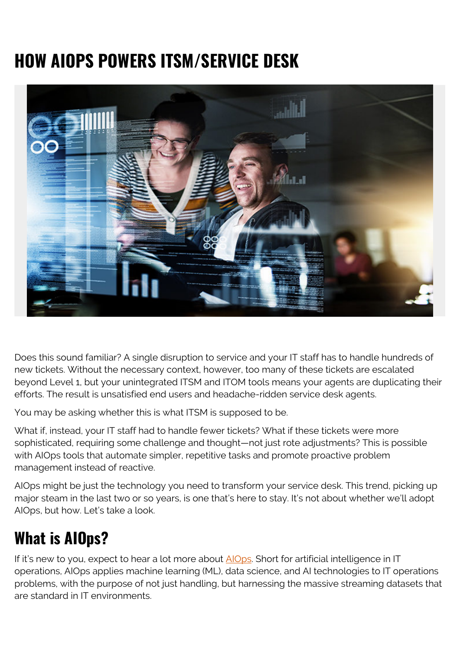# **HOW AIOPS POWERS ITSM/SERVICE DESK**



Does this sound familiar? A single disruption to service and your IT staff has to handle hundreds of new tickets. Without the necessary context, however, too many of these tickets are escalated beyond Level 1, but your unintegrated ITSM and ITOM tools means your agents are duplicating their efforts. The result is unsatisfied end users and headache-ridden service desk agents.

You may be asking whether this is what ITSM is supposed to be.

What if, instead, your IT staff had to handle fewer tickets? What if these tickets were more sophisticated, requiring some challenge and thought—not just rote adjustments? This is possible with AIOps tools that automate simpler, repetitive tasks and promote proactive problem management instead of reactive.

AIOps might be just the technology you need to transform your service desk. This trend, picking up major steam in the last two or so years, is one that's here to stay. It's not about whether we'll adopt AIOps, but how. Let's take a look.

### **What is AIOps?**

If it's new to you, expect to hear a lot more about [AIOps.](https://blogs.bmc.com/learn/what-is-aiops.html) Short for artificial intelligence in IT operations, AIOps applies machine learning (ML), data science, and AI technologies to IT operations problems, with the purpose of not just handling, but harnessing the massive streaming datasets that are standard in IT environments.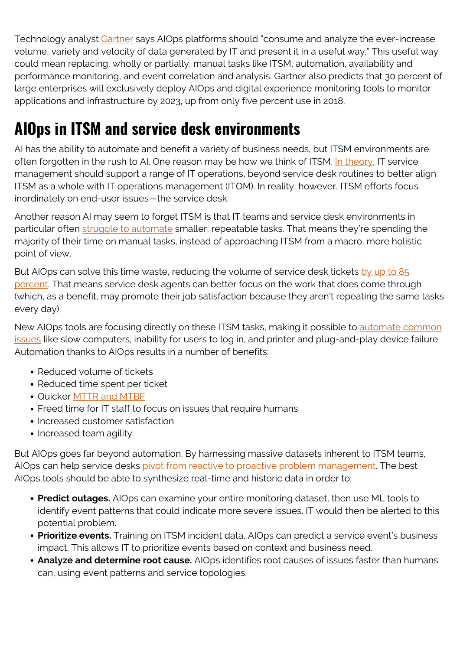Technology analyst [Gartner](https://www.gartner.com/smarterwithgartner/how-to-get-started-with-aiops/) says AIOps platforms should "consume and analyze the ever-increase volume, variety and velocity of data generated by IT and present it in a useful way." This useful way could mean replacing, wholly or partially, manual tasks like ITSM, automation, availability and performance monitoring, and event correlation and analysis. Gartner also predicts that 30 percent of large enterprises will exclusively deploy AIOps and digital experience monitoring tools to monitor applications and infrastructure by 2023, up from only five percent use in 2018.

## **AIOps in ITSM and service desk environments**

AI has the ability to automate and benefit a variety of business needs, but ITSM environments are often forgotten in the rush to AI. One reason may be how we think of ITSM. [In theory,](https://itsm.tools/aiops-connecting-itsm-and-itom-to-increase-service-quality/) IT service management should support a range of IT operations, beyond service desk routines to better align ITSM as a whole with IT operations management (ITOM). In reality, however, ITSM efforts focus inordinately on end-user issues—the service desk.

Another reason AI may seem to forget ITSM is that IT teams and service desk environments in particular often [struggle to automate](https://blogs.bmc.com/blogs/how-automation-maximizes-aiops-value/) smaller, repeatable tasks. That means they're spending the majority of their time on manual tasks, instead of approaching ITSM from a macro, more holistic point of view.

But AIOps can solve this time waste, reducing the volume of service desk tickets [by up to 85](https://www.bigpanda.io/blog/aiops-tools/) [percent](https://www.bigpanda.io/blog/aiops-tools/). That means service desk agents can better focus on the work that does come through (which, as a benefit, may promote their job satisfaction because they aren't repeating the same tasks every day).

New AIOps tools are focusing directly on these ITSM tasks, making it possible to [automate common](https://web.archive.org/web/20200815015221/https://www.cherwell.com/library/blog/slash-your-itsm-costs-and-man-hours-with-aiops/) [issues](https://web.archive.org/web/20200815015221/https://www.cherwell.com/library/blog/slash-your-itsm-costs-and-man-hours-with-aiops/) like slow computers, inability for users to log in, and printer and plug-and-play device failure. Automation thanks to AIOps results in a number of benefits:

- Reduced volume of tickets
- Reduced time spent per ticket
- Quicker [MTTR and MTBF](https://blogs.bmc.com/blogs/mtbf-vs-mtff-vs-mttr-whats-difference/)
- Freed time for IT staff to focus on issues that require humans
- Increased customer satisfaction
- Increased team agility

But AIOps goes far beyond automation. By harnessing massive datasets inherent to ITSM teams, AIOps can help service desks [pivot from reactive to proactive problem management.](https://blogs.bmc.com/blogs/reactive-vs-proactive-problem-management/) The best AIOps tools should be able to synthesize real-time and historic data in order to:

- **Predict outages.** AIOps can examine your entire monitoring dataset, then use ML tools to identify event patterns that could indicate more severe issues. IT would then be alerted to this potential problem.
- **Prioritize events.** Training on ITSM incident data, AIOps can predict a service event's business impact. This allows IT to prioritize events based on context and business need.
- **Analyze and determine root cause.** AIOps identifies root causes of issues faster than humans can, using event patterns and service topologies.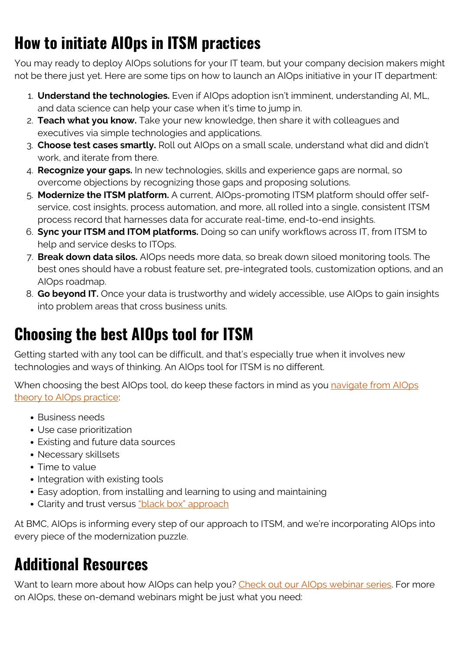# **How to initiate AIOps in ITSM practices**

You may ready to deploy AIOps solutions for your IT team, but your company decision makers might not be there just yet. Here are some tips on how to launch an AIOps initiative in your IT department:

- 1. **Understand the technologies.** Even if AIOps adoption isn't imminent, understanding AI, ML, and data science can help your case when it's time to jump in.
- 2. **Teach what you know.** Take your new knowledge, then share it with colleagues and executives via simple technologies and applications.
- 3. **Choose test cases smartly.** Roll out AIOps on a small scale, understand what did and didn't work, and iterate from there.
- 4. **Recognize your gaps.** In new technologies, skills and experience gaps are normal, so overcome objections by recognizing those gaps and proposing solutions.
- 5. **Modernize the ITSM platform.** A current, AIOps-promoting ITSM platform should offer selfservice, cost insights, process automation, and more, all rolled into a single, consistent ITSM process record that harnesses data for accurate real-time, end-to-end insights.
- 6. **Sync your ITSM and ITOM platforms.** Doing so can unify workflows across IT, from ITSM to help and service desks to ITOps.
- 7. **Break down data silos.** AIOps needs more data, so break down siloed monitoring tools. The best ones should have a robust feature set, pre-integrated tools, customization options, and an AIOps roadmap.
- 8. **Go beyond IT.** Once your data is trustworthy and widely accessible, use AIOps to gain insights into problem areas that cross business units.

## **Choosing the best AIOps tool for ITSM**

Getting started with any tool can be difficult, and that's especially true when it involves new technologies and ways of thinking. An AIOps tool for ITSM is no different.

When choosing the best AIOps tool, do keep these factors in mind as you [navigate from AIOps](https://blogs.bmc.com/blogs/aiops-use-cases-from-theory-to-practice/) [theory to AIOps practice](https://blogs.bmc.com/blogs/aiops-use-cases-from-theory-to-practice/):

- Business needs
- Use case prioritization
- Existing and future data sources
- Necessary skillsets
- Time to value
- Integration with existing tools
- Easy adoption, from installing and learning to using and maintaining
- Clarity and trust versus ["black box" approach](https://en.wikipedia.org/wiki/Black_box)

At BMC, AIOps is informing every step of our approach to ITSM, and we're incorporating AIOps into every piece of the modernization puzzle.

### **Additional Resources**

Want to learn more about how AIOps can help you? [Check out our AIOps webinar series.](https://blogs.bmc.com/blogs/learn-aiops-webinar-series/) For more on AIOps, these on-demand webinars might be just what you need: